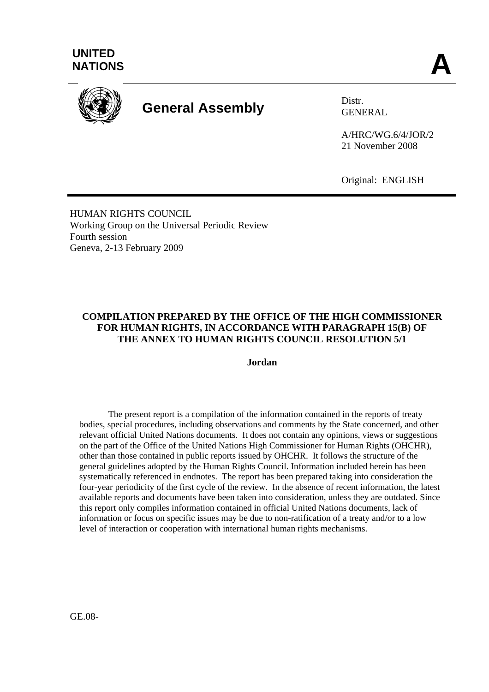

# **General Assembly** Distr.

GENERAL

A/HRC/WG.6/4/JOR/2 21 November 2008

Original: ENGLISH

HUMAN RIGHTS COUNCIL Working Group on the Universal Periodic Review Fourth session Geneva, 2-13 February 2009

## **COMPILATION PREPARED BY THE OFFICE OF THE HIGH COMMISSIONER FOR HUMAN RIGHTS, IN ACCORDANCE WITH PARAGRAPH 15(B) OF THE ANNEX TO HUMAN RIGHTS COUNCIL RESOLUTION 5/1**

#### **Jordan**

 The present report is a compilation of the information contained in the reports of treaty bodies, special procedures, including observations and comments by the State concerned, and other relevant official United Nations documents. It does not contain any opinions, views or suggestions on the part of the Office of the United Nations High Commissioner for Human Rights (OHCHR), other than those contained in public reports issued by OHCHR. It follows the structure of the general guidelines adopted by the Human Rights Council. Information included herein has been systematically referenced in endnotes. The report has been prepared taking into consideration the four-year periodicity of the first cycle of the review. In the absence of recent information, the latest available reports and documents have been taken into consideration, unless they are outdated. Since this report only compiles information contained in official United Nations documents, lack of information or focus on specific issues may be due to non-ratification of a treaty and/or to a low level of interaction or cooperation with international human rights mechanisms.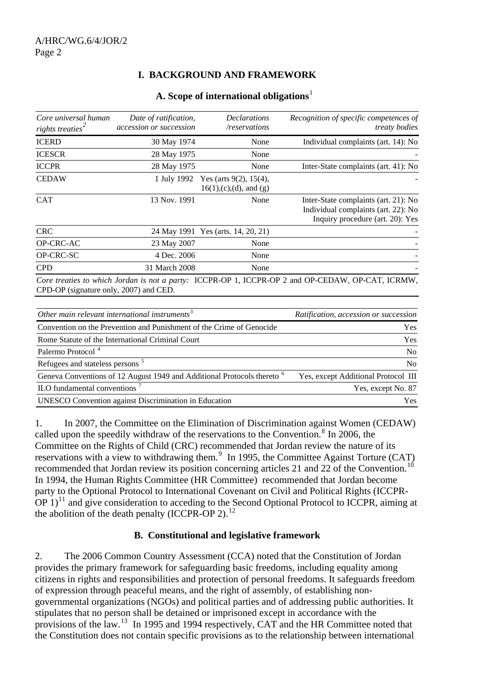# **I. BACKGROUND AND FRAMEWORK**

#### **A. Scope of international obligations**[1](#page-14-0)

| Core universal human<br>rights treaties <sup>2</sup> | Date of ratification,<br>accession or succession | <i>Declarations</i><br>/reservations                        | Recognition of specific competences of<br><i>treaty bodies</i>                                                  |
|------------------------------------------------------|--------------------------------------------------|-------------------------------------------------------------|-----------------------------------------------------------------------------------------------------------------|
| <b>ICERD</b>                                         | 30 May 1974                                      | None                                                        | Individual complaints (art. 14): No                                                                             |
| <b>ICESCR</b>                                        | 28 May 1975                                      | None                                                        |                                                                                                                 |
| <b>ICCPR</b>                                         | 28 May 1975                                      | None                                                        | Inter-State complaints (art. 41): No                                                                            |
| <b>CEDAW</b>                                         | 1 July 1992                                      | Yes (arts $9(2)$ , $15(4)$ ,<br>$16(1)$ , (c), (d), and (g) |                                                                                                                 |
| <b>CAT</b>                                           | 13 Nov. 1991                                     | None                                                        | Inter-State complaints (art. 21): No<br>Individual complaints (art. 22): No<br>Inquiry procedure (art. 20): Yes |
| <b>CRC</b>                                           |                                                  | 24 May 1991 Yes (arts. 14, 20, 21)                          |                                                                                                                 |
| OP-CRC-AC                                            | 23 May 2007                                      | None                                                        |                                                                                                                 |
| OP-CRC-SC                                            | 4 Dec. 2006                                      | None                                                        |                                                                                                                 |
| <b>CPD</b>                                           | 31 March 2008                                    | None                                                        |                                                                                                                 |
| CPD-OP (signature only, 2007) and CED.               |                                                  |                                                             | Core treaties to which Jordan is not a party: ICCPR-OP 1, ICCPR-OP 2 and OP-CEDAW, OP-CAT, ICRMW,               |
|                                                      |                                                  |                                                             |                                                                                                                 |

| Ratification, accession or succession |
|---------------------------------------|
| <b>Yes</b>                            |
| Yes                                   |
| N <sub>o</sub>                        |
| N <sub>0</sub>                        |
| Yes, except Additional Protocol III   |
| Yes, except No. 87                    |
| Yes                                   |
|                                       |

1. In 2007, the Committee on the Elimination of Discrimination against Women (CEDAW) called upon the speedily withdraw of the reservations to the Convention.<sup>[8](#page-14-1)</sup> In 2006, the Committee on the Rights of Child (CRC) recommended that Jordan review the nature of its reservations with a view to withdrawing them. $9\;$  $9\;$  In 1995, the Committee Against Torture (CAT) recommended that Jordan review its position concerning articles 21 and 22 of the Convention.<sup>[10](#page-14-1)</sup> In 1994, the Human Rights Committee (HR Committee) recommended that Jordan become party to the Optional Protocol to International Covenant on Civil and Political Rights (ICCPR-OP  $1$ <sup>[11](#page-14-1)</sup> and give consideration to acceding to the Second Optional Protocol to ICCPR, aiming at the abolition of the death penalty (ICCPR-OP 2). $^{12}$  $^{12}$  $^{12}$ 

## **B. Constitutional and legislative framework**

2. The 2006 Common Country Assessment (CCA) noted that the Constitution of Jordan provides the primary framework for safeguarding basic freedoms, including equality among citizens in rights and responsibilities and protection of personal freedoms. It safeguards freedom of expression through peaceful means, and the right of assembly, of establishing nongovernmental organizations (NGOs) and political parties and of addressing public authorities. It stipulates that no person shall be detained or imprisoned except in accordance with the provisions of the law.<sup>[13](#page-14-1)</sup> In 1995 and 1994 respectively, CAT and the HR Committee noted that the Constitution does not contain specific provisions as to the relationship between international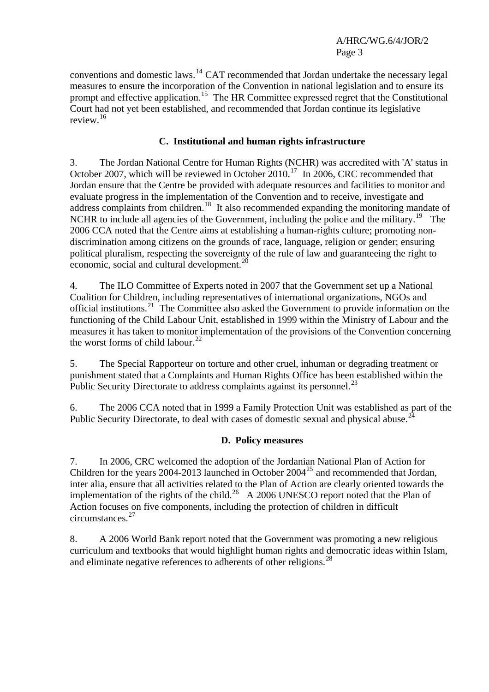conventions and domestic laws.[14](#page-14-1) CAT recommended that Jordan undertake the necessary legal measures to ensure the incorporation of the Convention in national legislation and to ensure its prompt and effective application.<sup>[15](#page-14-1)</sup> The HR Committee expressed regret that the Constitutional Court had not yet been established, and recommended that Jordan continue its legislative review.[16](#page-14-1)

## **C. Institutional and human rights infrastructure**

3. The Jordan National Centre for Human Rights (NCHR) was accredited with 'A' status in October 2007, which will be reviewed in October 2010.<sup>[17](#page-14-1)</sup> In 2006, CRC recommended that Jordan ensure that the Centre be provided with adequate resources and facilities to monitor and evaluate progress in the implementation of the Convention and to receive, investigate and address complaints from children.<sup>[18](#page-14-1)</sup> It also recommended expanding the monitoring mandate of NCHR to include all agencies of the Government, including the police and the military.<sup>[19](#page-14-1)</sup> The 2006 CCA noted that the Centre aims at establishing a human-rights culture; promoting nondiscrimination among citizens on the grounds of race, language, religion or gender; ensuring political pluralism, respecting the sovereignty of the rule of law and guaranteeing the right to economic, social and cultural development.<sup>[20](#page-14-1)</sup>

4. The ILO Committee of Experts noted in 2007 that the Government set up a National Coalition for Children, including representatives of international organizations, NGOs and official institutions.<sup>[21](#page-14-1)</sup> The Committee also asked the Government to provide information on the functioning of the Child Labour Unit, established in 1999 within the Ministry of Labour and the measures it has taken to monitor implementation of the provisions of the Convention concerning the worst forms of child labour. $^{22}$  $^{22}$  $^{22}$ 

5. The Special Rapporteur on [torture](http://www2.ohchr.org/english/issues/torture/rapporteur/index.htm) and other cruel, inhuman or degrading treatment or punishment stated that a Complaints and Human Rights Office has been established within the Public Security Directorate to address complaints against its personnel.<sup>[23](#page-14-1)</sup>

6. The 2006 CCA noted that in 1999 a Family Protection Unit was established as part of the Public Security Directorate, to deal with cases of domestic sexual and physical abuse.<sup>[24](#page-14-1)</sup>

## **D. Policy measures**

7. In 2006, CRC welcomed the adoption of the Jordanian National Plan of Action for Children for the years 2004-2013 launched in October  $2004^{25}$  $2004^{25}$  $2004^{25}$  and recommended that Jordan. inter alia, ensure that all activities related to the Plan of Action are clearly oriented towards the implementation of the rights of the child.<sup>[26](#page-14-1)</sup> A 2006 UNESCO report noted that the Plan of Action focuses on five components, including the protection of children in difficult circumstances.[27](#page-14-1)

8. A 2006 World Bank report noted that the Government was promoting a new religious curriculum and textbooks that would highlight human rights and democratic ideas within Islam, and eliminate negative references to adherents of other religions.<sup>[28](#page-14-1)</sup>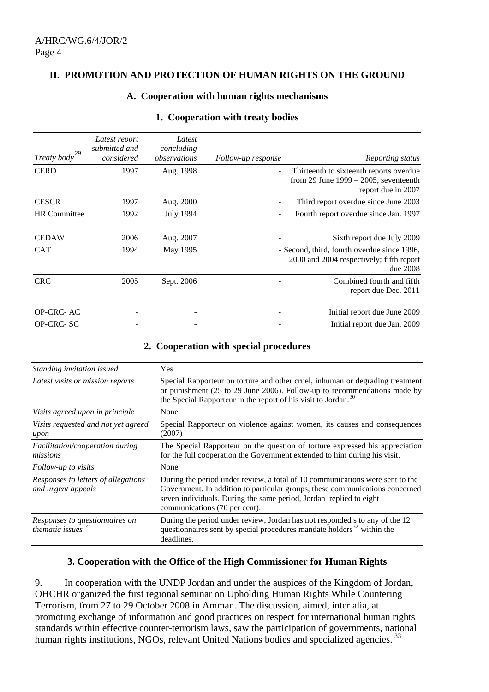#### **II. PROMOTION AND PROTECTION OF HUMAN RIGHTS ON THE GROUND**

#### **A. Cooperation with human rights mechanisms**

| Treaty body <sup>29</sup> | Latest report<br>submitted and<br>considered | Latest<br>concluding<br>observations | Follow-up response | Reporting status                                                                                          |
|---------------------------|----------------------------------------------|--------------------------------------|--------------------|-----------------------------------------------------------------------------------------------------------|
| <b>CERD</b>               | 1997                                         | Aug. 1998                            |                    | Thirteenth to sixteenth reports overdue<br>from 29 June $1999 - 2005$ , seventeenth<br>report due in 2007 |
| <b>CESCR</b>              | 1997                                         | Aug. 2000                            |                    | Third report overdue since June 2003                                                                      |
| <b>HR</b> Committee       | 1992                                         | <b>July 1994</b>                     |                    | Fourth report overdue since Jan. 1997                                                                     |
| <b>CEDAW</b>              | 2006                                         | Aug. 2007                            |                    | Sixth report due July 2009                                                                                |
| <b>CAT</b>                | 1994                                         | May 1995                             |                    | - Second, third, fourth overdue since 1996,<br>2000 and 2004 respectively; fifth report<br>due 2008       |
| <b>CRC</b>                | 2005                                         | Sept. 2006                           |                    | Combined fourth and fifth<br>report due Dec. 2011                                                         |
| OP-CRC-AC                 |                                              |                                      |                    | Initial report due June 2009                                                                              |
| OP-CRC-SC                 |                                              |                                      |                    | Initial report due Jan. 2009                                                                              |

#### **1. Cooperation with treaty bodies**

#### **2. Cooperation with special procedures**

| Standing invitation issued                                | Yes                                                                                                                                                                                                                                                                  |  |
|-----------------------------------------------------------|----------------------------------------------------------------------------------------------------------------------------------------------------------------------------------------------------------------------------------------------------------------------|--|
| Latest visits or mission reports                          | Special Rapporteur on torture and other cruel, inhuman or degrading treatment<br>or punishment (25 to 29 June 2006). Follow-up to recommendations made by<br>the Special Rapporteur in the report of his visit to Jordan. <sup>30</sup>                              |  |
| Visits agreed upon in principle                           | None                                                                                                                                                                                                                                                                 |  |
| Visits requested and not yet agreed<br>upon               | Special Rapporteur on violence against women, its causes and consequences<br>(2007)                                                                                                                                                                                  |  |
| Facilitation/cooperation during<br>missions               | The Special Rapporteur on the question of torture expressed his appreciation<br>for the full cooperation the Government extended to him during his visit.                                                                                                            |  |
| Follow-up to visits                                       | None                                                                                                                                                                                                                                                                 |  |
| Responses to letters of allegations<br>and urgent appeals | During the period under review, a total of 10 communications were sent to the<br>Government. In addition to particular groups, these communications concerned<br>seven individuals. During the same period, Jordan replied to eight<br>communications (70 per cent). |  |
| Responses to questionnaires on<br>thematic issues $31$    | During the period under review, Jordan has not responded s to any of the 12<br>questionnaires sent by special procedures mandate holders <sup>32</sup> within the<br>deadlines.                                                                                      |  |

#### **3. Cooperation with the Office of the High Commissioner for Human Rights**

9. In cooperation with the UNDP Jordan and under the auspices of the Kingdom of Jordan, OHCHR organized the first regional seminar on Upholding Human Rights While Countering Terrorism, from 27 to 29 October 2008 in Amman. The discussion, aimed, inter alia, at promoting exchange of information and good practices on respect for international human rights standards within effective counter-terrorism laws, saw the participation of governments, national human rights institutions, NGOs, relevant United Nations bodies and specialized agencies.<sup>[33](#page-14-1)</sup>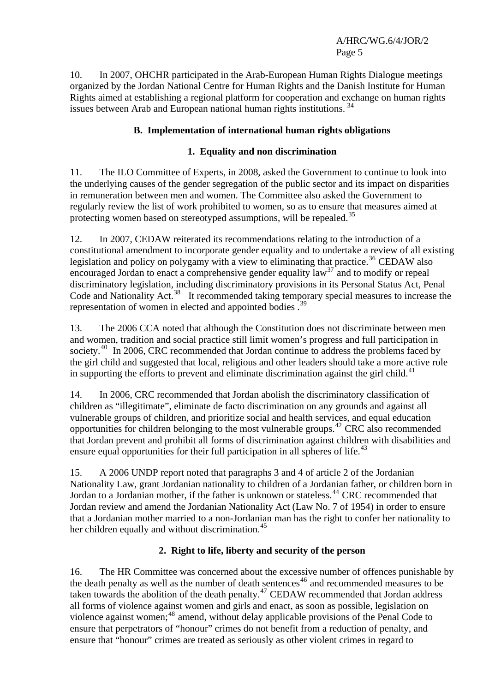10. In 2007, OHCHR participated in the Arab-European Human Rights Dialogue meetings organized by the Jordan National Centre for Human Rights and the Danish Institute for Human Rights aimed at establishing a regional platform for cooperation and exchange on human rights issues between Arab and European national human rights institutions.<sup>[34](#page-14-1)</sup>

# **B. Implementation of international human rights obligations**

# **1. Equality and non discrimination**

11. The ILO Committee of Experts, in 2008, asked the Government to continue to look into the underlying causes of the gender segregation of the public sector and its impact on disparities in remuneration between men and women. The Committee also asked the Government to regularly review the list of work prohibited to women, so as to ensure that measures aimed at protecting women based on stereotyped assumptions, will be repealed.<sup>[35](#page-14-1)</sup>

12. In 2007, CEDAW reiterated its recommendations relating to the introduction of a constitutional amendment to incorporate gender equality and to undertake a review of all existing legislation and policy on polygamy with a view to eliminating that practice.<sup>[36](#page-14-1)</sup> CEDAW also encouraged Jordan to enact a comprehensive gender equality  $\frac{1}{2}$  and to modify or repeal discriminatory legislation, including discriminatory provisions in its Personal Status Act, Penal Code and Nationality Act.<sup>[38](#page-14-1)</sup> It recommended taking temporary special measures to increase the representation of women in elected and appointed bodies.<sup>[39](#page-14-1)</sup>

13. The 2006 CCA noted that although the Constitution does not discriminate between men and women, tradition and social practice still limit women's progress and full participation in society.<sup>[40](#page-14-1)</sup> In 2006, CRC recommended that Jordan continue to address the problems faced by the girl child and suggested that local, religious and other leaders should take a more active role in supporting the efforts to prevent and eliminate discrimination against the girl child.<sup>[41](#page-14-1)</sup>

14. In 2006, CRC recommended that Jordan abolish the discriminatory classification of children as "illegitimate", eliminate de facto discrimination on any grounds and against all vulnerable groups of children, and prioritize social and health services, and equal education opportunities for children belonging to the most vulnerable groups.[42](#page-14-1) CRC also recommended that Jordan prevent and prohibit all forms of discrimination against children with disabilities and ensure equal opportunities for their full participation in all spheres of life.<sup>[43](#page-14-1)</sup>

15. A 2006 UNDP report noted that paragraphs 3 and 4 of article 2 of the Jordanian Nationality Law, grant Jordanian nationality to children of a Jordanian father, or children born in Jordan to a Jordanian mother, if the father is unknown or stateless.<sup>[44](#page-14-1)</sup> CRC recommended that Jordan review and amend the Jordanian Nationality Act (Law No. 7 of 1954) in order to ensure that a Jordanian mother married to a non-Jordanian man has the right to confer her nationality to her children equally and without discrimination.<sup>[45](#page-14-1)</sup>

# **2. Right to life, liberty and security of the person**

16. The HR Committee was concerned about the excessive number of offences punishable by T the death penalty as well as the number of death sentences<sup>[46](#page-14-1)</sup> and recommended measures to be taken towards the abolition of the death penalty.<sup>[47](#page-14-1)</sup> CEDAW recommended that Jordan address all forms of violence against women and girls and enact, as soon as possible, legislation on violence against women;<sup>[48](#page-14-1)</sup> amend, without delay applicable provisions of the Penal Code to ensure that perpetrators of "honour" crimes do not benefit from a reduction of penalty, and ensure that "honour" crimes are treated as seriously as other violent crimes in regard to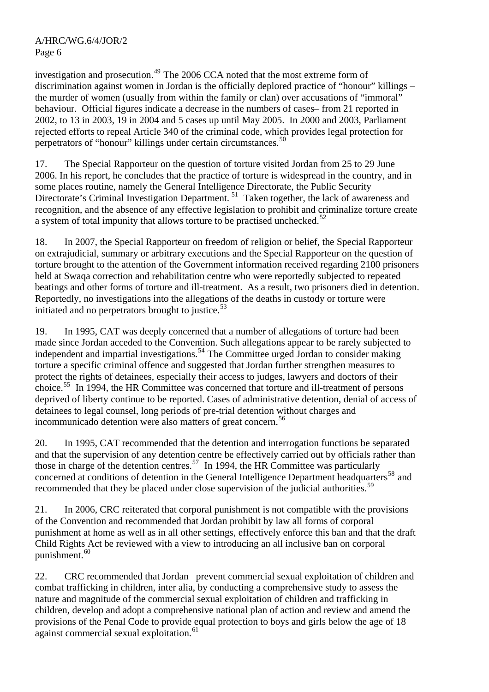investigation and prosecution.<sup>[49](#page-14-1)</sup> The 2006 CCA noted that the most extreme form of discrimination against women in Jordan is the officially deplored practice of "honour" killings – the murder of women (usually from within the family or clan) over accusations of "immoral" behaviour. Official figures indicate a decrease in the numbers of cases– from 21 reported in 2002, to 13 in 2003, 19 in 2004 and 5 cases up until May 2005. In 2000 and 2003, Parliament rejected efforts to repeal Article 340 of the criminal code, which provides legal protection for perpetrators of "honour" killings under certain circumstances.<sup>[50](#page-14-1)</sup>

17. The Special Rapporteur on the question of [torture](http://www2.ohchr.org/english/issues/torture/rapporteur/index.htm) visited Jordan from 25 to 29 June 2006. In his report, he concludes that the practice of torture is widespread in the country, and in some places routine, namely the General Intelligence Directorate, the Public Security Directorate's Criminal Investigation Department.<sup>[51](#page-14-1)</sup> Taken together, the lack of awareness and recognition, and the absence of any effective legislation to prohibit and criminalize torture create a system of total impunity that allows torture to be practised unchecked.<sup>[52](#page-14-1)</sup>

18. In 2007, the Special Rapporteur on freedom of religion or belief, the Special Rapporteur on extrajudicial, summary or arbitrary executions and the Special Rapporteur on the question of [torture](http://www2.ohchr.org/english/issues/torture/rapporteur/index.htm) brought to the attention of the Government information received regarding 2100 prisoners held at Swaqa correction and rehabilitation centre who were reportedly subjected to repeated beatings and other forms of torture and ill-treatment. As a result, two prisoners died in detention. Reportedly, no investigations into the allegations of the deaths in custody or torture were initiated and no perpetrators brought to justice.<sup>[53](#page-14-1)</sup>

19. In 1995, CAT was deeply concerned that a number of allegations of torture had been made since Jordan acceded to the Convention. Such allegations appear to be rarely subjected to independent and impartial investigations.<sup>[54](#page-14-1)</sup> The Committee urged Jordan to consider making torture a specific criminal offence and suggested that Jordan further strengthen measures to protect the rights of detainees, especially their access to judges, lawyers and doctors of their choice.[55](#page-14-1) In 1994, the HR Committee was concerned that torture and ill-treatment of persons deprived of liberty continue to be reported. Cases of administrative detention, denial of access of detainees to legal counsel, long periods of pre-trial detention without charges and incommunicado detention were also matters of great concern.<sup>[56](#page-14-1)</sup>

20. In 1995, CAT recommended that the detention and interrogation functions be separated and that the supervision of any detention centre be effectively carried out by officials rather than those in charge of the detention centres.<sup>[57](#page-14-1)</sup> In 1994, the HR Committee was particularly concerned at conditions of detention in the General Intelligence Department headquarters<sup>[58](#page-14-1)</sup> and recommended that they be placed under close supervision of the judicial authorities.<sup>[59](#page-14-1)</sup>

21. In 2006, CRC reiterated that corporal punishment is not compatible with the provisions of the Convention and recommended that Jordan prohibit by law all forms of corporal punishment at home as well as in all other settings, effectively enforce this ban and that the draft Child Rights Act be reviewed with a view to introducing an all inclusive ban on corporal punishment.<sup>[60](#page-14-1)</sup>

22. CRC recommended that Jordan prevent commercial sexual exploitation of children and combat trafficking in children, inter alia, by conducting a comprehensive study to assess the nature and magnitude of the commercial sexual exploitation of children and trafficking in children, develop and adopt a comprehensive national plan of action and review and amend the provisions of the Penal Code to provide equal protection to boys and girls below the age of 18 against commercial sexual exploitation.<sup>[61](#page-14-1)</sup>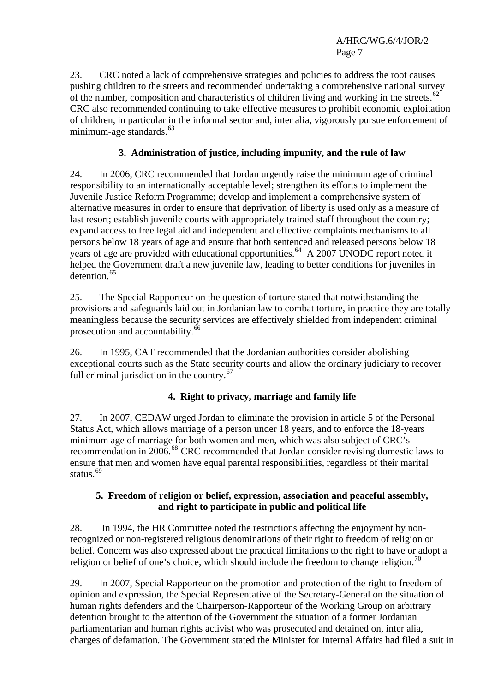23. CRC noted a lack of comprehensive strategies and policies to address the root causes pushing children to the streets and recommended undertaking a comprehensive national survey of the number, composition and characteristics of children living and working in the streets.<sup>[62](#page-14-1)</sup> CRC also recommended continuing to take effective measures to prohibit economic exploitation of children, in particular in the informal sector and, inter alia, vigorously pursue enforcement of minimum-age standards.<sup>[63](#page-14-1)</sup>

# **3. Administration of justice, including impunity, and the rule of law**

24. In 2006, CRC recommended that Jordan urgently raise the minimum age of criminal responsibility to an internationally acceptable level; strengthen its efforts to implement the Juvenile Justice Reform Programme; develop and implement a comprehensive system of alternative measures in order to ensure that deprivation of liberty is used only as a measure of last resort; establish juvenile courts with appropriately trained staff throughout the country; expand access to free legal aid and independent and effective complaints mechanisms to all persons below 18 years of age and ensure that both sentenced and released persons below 18 years of age are provided with educational opportunities.<sup>[64](#page-14-1)</sup> A 2007 UNODC report noted it helped the Government draft a new juvenile law, leading to better conditions for juveniles in detention.<sup>[65](#page-14-1)</sup>

25. The Special Rapporteur on the question of torture stated that notwithstanding the provisions and safeguards laid out in Jordanian law to combat torture, in practice they are totally meaningless because the security services are effectively shielded from independent criminal prosecution and accountability.<sup>[66](#page-14-1)</sup>

26. In 1995, CAT recommended that the Jordanian authorities consider abolishing exceptional courts such as the State security courts and allow the ordinary judiciary to recover full criminal jurisdiction in the country. $67$ 

# **4. Right to privacy, marriage and family life**

27. In 2007, CEDAW urged Jordan to eliminate the provision in article 5 of the Personal Status Act, which allows marriage of a person under 18 years, and to enforce the 18-years minimum age of marriage for both women and men, which was also subject of CRC's recommendation in 2006.<sup>[68](#page-14-1)</sup> CRC recommended that Jordan consider revising domestic laws to ensure that men and women have equal parental responsibilities, regardless of their marital status.<sup>[69](#page-14-1)</sup>

## **5. Freedom of religion or belief, expression, association and peaceful assembly, and right to participate in public and political life**

28. In 1994, the HR Committee noted the restrictions affecting the enjoyment by nonrecognized or non-registered religious denominations of their right to freedom of religion or belief. Concern was also expressed about the practical limitations to the right to have or adopt a religion or belief of one's choice, which should include the freedom to change religion.<sup>[70](#page-14-1)</sup>

29. In 2007, Special Rapporteur on the promotion and protection of the right to freedom of opinion and expression, the Special Representative of the Secretary-General on the situation of human rights defenders and the Chairperson-Rapporteur of the Working Group on arbitrary detention brought to the attention of the Government the situation of a former Jordanian parliamentarian and human rights activist who was prosecuted and detained on, inter alia, charges of defamation. The Government stated the Minister for Internal Affairs had filed a suit in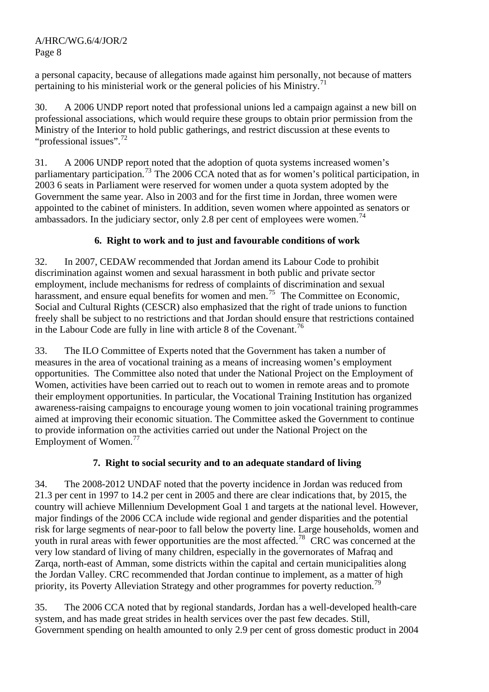a personal capacity, because of allegations made against him personally, not because of matters pertaining to his ministerial work or the general policies of his Ministry.<sup>[71](#page-14-1)</sup>

30. A 2006 UNDP report noted that professional unions led a campaign against a new bill on professional associations, which would require these groups to obtain prior permission from the Ministry of the Interior to hold public gatherings, and restrict discussion at these events to "professional issues".<sup>[72](#page-14-1)</sup>

31. A 2006 UNDP report noted that the adoption of quota systems increased women's parliamentary participation.<sup>[73](#page-14-1)</sup> The 2006 CCA noted that as for women's political participation, in 2003 6 seats in Parliament were reserved for women under a quota system adopted by the Government the same year. Also in 2003 and for the first time in Jordan, three women were appointed to the cabinet of ministers. In addition, seven women where appointed as senators or ambassadors. In the judiciary sector, only 2.8 per cent of employees were women.<sup>[74](#page-14-1)</sup>

# **6. Right to work and to just and favourable conditions of work**

32. In 2007, CEDAW recommended that Jordan amend its Labour Code to prohibit discrimination against women and sexual harassment in both public and private sector employment, include mechanisms for redress of complaints of discrimination and sexual harassment, and ensure equal benefits for women and men.<sup>[75](#page-14-1)</sup> The Committee on Economic, Social and Cultural Rights (CESCR) also emphasized that the right of trade unions to function freely shall be subject to no restrictions and that Jordan should ensure that restrictions contained in the Labour Code are fully in line with article 8 of the Covenant.<sup>[76](#page-14-1)</sup>

33. The ILO Committee of Experts noted that the Government has taken a number of measures in the area of vocational training as a means of increasing women's employment opportunities. The Committee also noted that under the National Project on the Employment of Women, activities have been carried out to reach out to women in remote areas and to promote their employment opportunities. In particular, the Vocational Training Institution has organized awareness-raising campaigns to encourage young women to join vocational training programmes aimed at improving their economic situation. The Committee asked the Government to continue to provide information on the activities carried out under the National Project on the Employment of Women.<sup>[77](#page-14-1)</sup>

# **7. Right to social security and to an adequate standard of living**

34. The 2008-2012 UNDAF noted that the poverty incidence in Jordan was reduced from 21.3 per cent in 1997 to 14.2 per cent in 2005 and there are clear indications that, by 2015, the country will achieve Millennium Development Goal 1 and targets at the national level. However, major findings of the 2006 CCA include wide regional and gender disparities and the potential risk for large segments of near-poor to fall below the poverty line. Large households, women and youth in rural areas with fewer opportunities are the most affected.<sup>[78](#page-14-1)</sup> CRC was concerned at the very low standard of living of many children, especially in the governorates of Mafraq and Zarqa, north-east of Amman, some districts within the capital and certain municipalities along the Jordan Valley. CRC recommended that Jordan continue to implement, as a matter of high priority, its Poverty Alleviation Strategy and other programmes for poverty reduction.<sup>[79](#page-14-1)</sup>

35. The 2006 CCA noted that by regional standards, Jordan has a well-developed health-care system, and has made great strides in health services over the past few decades. Still, Government spending on health amounted to only 2.9 per cent of gross domestic product in 2004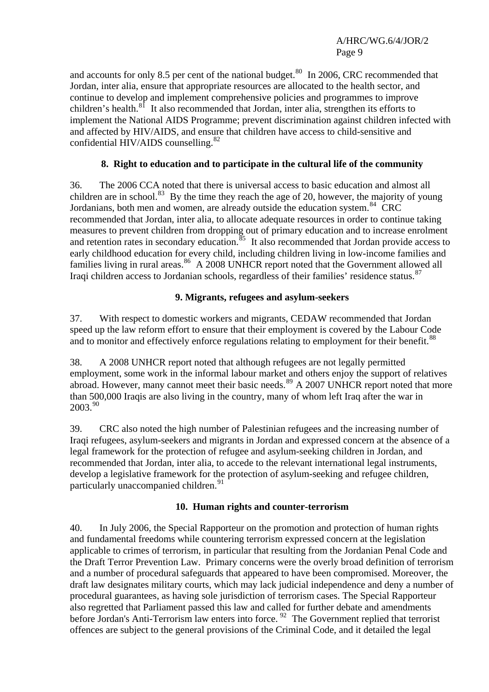and accounts for only 8.5 per cent of the national budget. $80 \text{ In } 2006$  $80 \text{ In } 2006$ , CRC recommended that Jordan, inter alia, ensure that appropriate resources are allocated to the health sector, and continue to develop and implement comprehensive policies and programmes to improve children's health. $8^{\overline{1}}$  It also recommended that Jordan, inter alia, strengthen its efforts to implement the National AIDS Programme; prevent discrimination against children infected with and affected by HIV/AIDS, and ensure that children have access to child-sensitive and confidential HIV/AIDS counselling.<sup>[82](#page-14-1)</sup>

## **8. Right to education and to participate in the cultural life of the community**

36. The 2006 CCA noted that there is universal access to basic education and almost all children are in school.<sup>[83](#page-14-1)</sup> By the time they reach the age of 20, however, the majority of young Jordanians, both men and women, are already outside the education system.<sup>[84](#page-14-1)</sup> CRC recommended that Jordan, inter alia, to allocate adequate resources in order to continue taking measures to prevent children from dropping out of primary education and to increase enrolment and retention rates in secondary education.<sup>[85](#page-14-1)</sup> It also recommended that Jordan provide access to early childhood education for every child, including children living in low-income families and families living in rural areas.<sup>[86](#page-14-1)</sup> A 2008 UNHCR report noted that the Government allowed all Iraqi children access to Jordanian schools, regardless of their families' residence status.<sup>[87](#page-14-1)</sup>

## **9. Migrants, refugees and asylum-seekers**

37. With respect to domestic workers and migrants, CEDAW recommended that Jordan speed up the law reform effort to ensure that their employment is covered by the Labour Code and to monitor and effectively enforce regulations relating to employment for their benefit.<sup>[88](#page-14-1)</sup>

38. A 2008 UNHCR report noted that although refugees are not legally permitted employment, some work in the informal labour market and others enjoy the support of relatives abroad. However, many cannot meet their basic needs.<sup>[89](#page-14-1)</sup> A 2007 UNHCR report noted that more than 500,000 Iraqis are also living in the country, many of whom left Iraq after the war in 2003.<sup>[90](#page-14-1)</sup>

39. CRC also noted the high number of Palestinian refugees and the increasing number of Iraqi refugees, asylum-seekers and migrants in Jordan and expressed concern at the absence of a legal framework for the protection of refugee and asylum-seeking children in Jordan, and recommended that Jordan, inter alia, to accede to the relevant international legal instruments, develop a legislative framework for the protection of asylum-seeking and refugee children, particularly unaccompanied children.<sup>[91](#page-14-1)</sup>

#### **10. Human rights and counter-terrorism**

40. In July 2006, the Special Rapporteur on the promotion and protection of human rights and fundamental freedoms while countering terrorism expressed concern at the legislation applicable to crimes of terrorism, in particular that resulting from the Jordanian Penal Code and the Draft Terror Prevention Law. Primary concerns were the overly broad definition of terrorism and a number of procedural safeguards that appeared to have been compromised. Moreover, the draft law designates military courts, which may lack judicial independence and deny a number of procedural guarantees, as having sole jurisdiction of terrorism cases. The Special Rapporteur also regretted that Parliament passed this law and called for further debate and amendments before Jordan's Anti-Terrorism law enters into force.  $92$  The Government replied that terrorist offences are subject to the general provisions of the Criminal Code, and it detailed the legal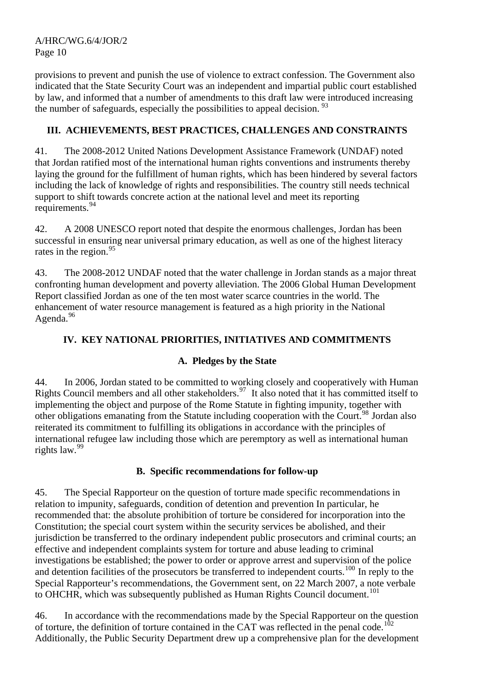provisions to prevent and punish the use of violence to extract confession. The Government also indicated that the State Security Court was an independent and impartial public court established by law, and informed that a number of amendments to this draft law were introduced increasing the number of safeguards, especially the possibilities to appeal decision.  $93$ 

# **III. ACHIEVEMENTS, BEST PRACTICES, CHALLENGES AND CONSTRAINTS**

41. The 2008-2012 United Nations Development Assistance Framework (UNDAF) noted that Jordan ratified most of the international human rights conventions and instruments thereby laying the ground for the fulfillment of human rights, which has been hindered by several factors including the lack of knowledge of rights and responsibilities. The country still needs technical support to shift towards concrete action at the national level and meet its reporting requirements.[94](#page-14-1)

42. A 2008 UNESCO report noted that despite the enormous challenges, Jordan has been successful in ensuring near universal primary education, as well as one of the highest literacy rates in the region.<sup>[95](#page-14-1)</sup>

43. The 2008-2012 UNDAF noted that the water challenge in Jordan stands as a major threat confronting human development and poverty alleviation. The 2006 Global Human Development Report classified Jordan as one of the ten most water scarce countries in the world. The enhancement of water resource management is featured as a high priority in the National Agenda. $96$ 

# **IV. KEY NATIONAL PRIORITIES, INITIATIVES AND COMMITMENTS**

# **A. Pledges by the State**

44. In 2006, Jordan stated to be committed to working closely and cooperatively with Human Rights Council members and all other stakeholders.<sup>[97](#page-14-1)</sup> It also noted that it has committed itself to implementing the object and purpose of the Rome Statute in fighting impunity, together with other obligations emanating from the Statute including cooperation with the Court.[98](#page-14-1) Jordan also reiterated its commitment to fulfilling its obligations in accordance with the principles of international refugee law including those which are peremptory as well as international human rights law.[99](#page-14-1)

# **B. Specific recommendations for follow-up**

45. The Special Rapporteur on the question of [torture](http://www2.ohchr.org/english/issues/torture/rapporteur/index.htm) made specific recommendations in relation to impunity, safeguards, condition of detention and prevention In particular, he recommended that: the absolute prohibition of torture be considered for incorporation into the Constitution; the special court system within the security services be abolished, and their jurisdiction be transferred to the ordinary independent public prosecutors and criminal courts; an effective and independent complaints system for torture and abuse leading to criminal investigations be established; the power to order or approve arrest and supervision of the police and detention facilities of the prosecutors be transferred to independent courts.<sup>[100](#page-14-1)</sup> In reply to the Special Rapporteur's recommendations, the Government sent, on 22 March 2007, a note verbale to OHCHR, which was subsequently published as Human Rights Council document.<sup>[101](#page-14-1)</sup>

46. In accordance with the recommendations made by the Special Rapporteur on the question of torture, the definition of torture contained in the CAT was reflected in the penal code.<sup>[102](#page-14-1)</sup> Additionally, the Public Security Department drew up a comprehensive plan for the development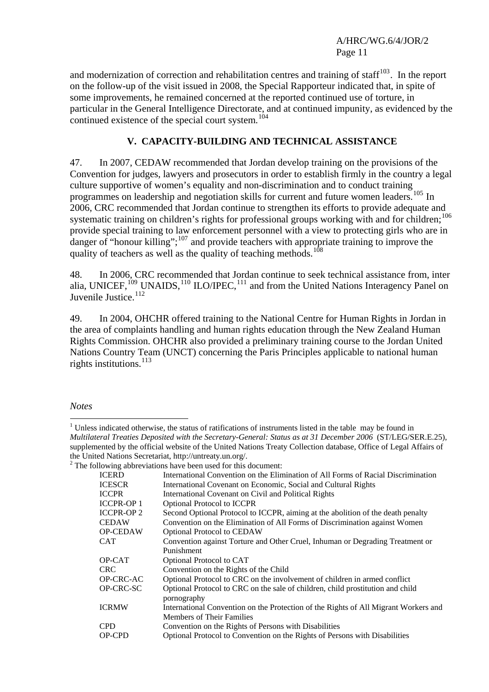and modernization of correction and rehabilitation centres and training of staff<sup>[103](#page-14-1)</sup>. In the report on the follow-up of the visit issued in 2008, the Special Rapporteur indicated that, in spite of some improvements, he remained concerned at the reported continued use of torture, in particular in the General Intelligence Directorate, and at continued impunity, as evidenced by the continued existence of the special court system.<sup>[104](#page-14-2)</sup>

## **V. CAPACITY-BUILDING AND TECHNICAL ASSISTANCE**

47. In 2007, CEDAW recommended that Jordan develop training on the provisions of the Convention for judges, lawyers and prosecutors in order to establish firmly in the country a legal culture supportive of women's equality and non-discrimination and to conduct training programmes on leadership and negotiation skills for current and future women leaders.<sup>[105](#page-14-3)</sup> In 2006, CRC recommended that Jordan continue to strengthen its efforts to provide adequate and systematic training on children's rights for professional groups working with and for children;<sup>[106](#page-14-4)</sup> provide special training to law enforcement personnel with a view to protecting girls who are in danger of "honour killing";<sup>[107](#page-14-5)</sup> and provide teachers with appropriate training to improve the quality of teachers as well as the quality of teaching methods.<sup>[108](#page-14-6)</sup>

48. In 2006, CRC recommended that Jordan continue to seek technical assistance from, inter alia, UNICEF,  $^{109}$  $^{109}$  $^{109}$  UNAIDS,  $^{110}$  $^{110}$  $^{110}$  ILO/IPEC,  $^{111}$  $^{111}$  $^{111}$  and from the United Nations Interagency Panel on Juvenile Justice.<sup>[112](#page-14-10)</sup>

49. In 2004, OHCHR offered training to the National Centre for Human Rights in Jordan in the area of complaints handling and human rights education through the New Zealand Human Rights Commission. OHCHR also provided a preliminary training course to the Jordan United Nations Country Team (UNCT) concerning the Paris Principles applicable to national human rights institutions.<sup>[113](#page-14-11)</sup>

 $\overline{a}$ 

<sup>&</sup>lt;sup>2</sup> The following abbreviations have been used for this document:

| <b>ICERD</b>     | International Convention on the Elimination of All Forms of Racial Discrimination                                |
|------------------|------------------------------------------------------------------------------------------------------------------|
| <b>ICESCR</b>    | International Covenant on Economic, Social and Cultural Rights                                                   |
| <b>ICCPR</b>     | International Covenant on Civil and Political Rights                                                             |
| <b>ICCPR-OP1</b> | <b>Optional Protocol to ICCPR</b>                                                                                |
| <b>ICCPR-OP2</b> | Second Optional Protocol to ICCPR, aiming at the abolition of the death penalty                                  |
| <b>CEDAW</b>     | Convention on the Elimination of All Forms of Discrimination against Women                                       |
| <b>OP-CEDAW</b>  | <b>Optional Protocol to CEDAW</b>                                                                                |
| <b>CAT</b>       | Convention against Torture and Other Cruel, Inhuman or Degrading Treatment or                                    |
|                  | Punishment                                                                                                       |
| OP-CAT           | Optional Protocol to CAT                                                                                         |
| CRC.             | Convention on the Rights of the Child                                                                            |
| OP-CRC-AC        | Optional Protocol to CRC on the involvement of children in armed conflict                                        |
| OP-CRC-SC        | Optional Protocol to CRC on the sale of children, child prostitution and child<br>pornography                    |
| <b>ICRMW</b>     | International Convention on the Protection of the Rights of All Migrant Workers and<br>Members of Their Families |
| <b>CPD</b>       | Convention on the Rights of Persons with Disabilities                                                            |
| OP-CPD           | Optional Protocol to Convention on the Rights of Persons with Disabilities                                       |
|                  |                                                                                                                  |

*Notes* 

 $1$  Unless indicated otherwise, the status of ratifications of instruments listed in the table may be found in *Multilateral Treaties Deposited with the Secretary-General: Status as at 31 December 2006* (ST/LEG/SER.E.25), supplemented by the official website of the United Nations Treaty Collection database, Office of Legal Affairs of the United Nations Secretariat, http://untreaty.un.org/.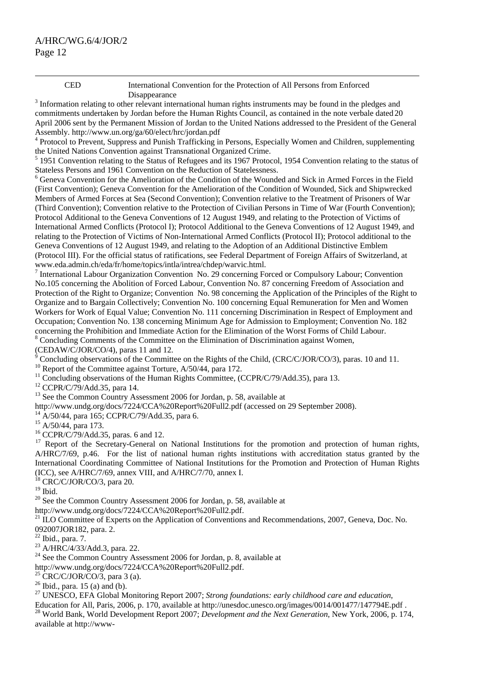CED International Convention for the Protection of All Persons from Enforced

<sup>3</sup> Information relating to other relevant international human rights instruments may be found in the pledges and <sup>3</sup> commitments undertaken by Jordan before the Human Rights Council, as contained in the note verbale dated 20 April 2006 sent by the Permanent Mission of Jordan to the United Nations addressed to the President of the General Assembly. http://www.un.org/ga/60/elect/hrc/jordan.pdf

<sup>4</sup> Protocol to Prevent, Suppress and Punish Trafficking in Persons, Especially Women and Children, supplementing the United Nations Convention against Transnational Organized Crime.

<sup>5</sup> 1951 Convention relating to the Status of Refugees and its 1967 Protocol, 1954 Convention relating to the status of Stateless Persons and 1961 Convention on the Reduction of Statelessness. 6

<sup>6</sup> Geneva Convention for the Amelioration of the Condition of the Wounded and Sick in Armed Forces in the Field (First Convention); Geneva Convention for the Amelioration of the Condition of Wounded, Sick and Shipwrecked Members of Armed Forces at Sea (Second Convention); Convention relative to the Treatment of Prisoners of War (Third Convention); Convention relative to the Protection of Civilian Persons in Time of War (Fourth Convention); Protocol Additional to the Geneva Conventions of 12 August 1949, and relating to the Protection of Victims of International Armed Conflicts (Protocol I); Protocol Additional to the Geneva Conventions of 12 August 1949, and relating to the Protection of Victims of Non-International Armed Conflicts (Protocol II); Protocol additional to the Geneva Conventions of 12 August 1949, and relating to the Adoption of an Additional Distinctive Emblem (Protocol III). For the official status of ratifications, see Federal Department of Foreign Affairs of Switzerland, at www.eda.admin.ch/eda/fr/home/topics/intla/intrea/chdep/warvic.html. 7

<sup>7</sup> International Labour Organization Convention No. 29 concerning Forced or Compulsory Labour; Convention No.105 concerning the Abolition of Forced Labour, Convention No. 87 concerning Freedom of Association and Protection of the Right to Organize; Convention No. 98 concerning the Application of the Principles of the Right to Organize and to Bargain Collectively; Convention No. 100 concerning Equal Remuneration for Men and Women Workers for Work of Equal Value; Convention No. 111 concerning Discrimination in Respect of Employment and Occupation; Convention No. 138 concerning Minimum Age for Admission to Employment; Convention No. 182 concerning the Prohibition and Immediate Action for the Elimination of the Worst Forms of Child Labour.

<sup>8</sup> Concluding Comments of the Committee on the Elimination of Discrimination against Women,

(CEDAW/C/JOR/CO/4), paras 11 and 12.

<sup>9</sup> Concluding observations of the Committee on the Rights of the Child, (CRC/C/JOR/CO/3), paras. 10 and 11.<br><sup>10</sup> Report of the Committee against Torture, A/50/44, para 172.

<sup>11</sup> Concluding observations of the Human Rights Committee, (CCPR/C/79/Add.35), para 13.

12 CCPR/C/79/Add.35, para 14.

 $13$  See the Common Country Assessment 2006 for Jordan, p. 58, available at

<http://www.undg.org/docs/7224/CCA%20Report%20Full2.pdf> (accessed on 29 September 2008). [14](http://www.undg.org/docs/7224/CCA%20Report%20Full2.pdf) A/50/44, para 165; CCPR/C/79/Add.35, para 6.

 $^{15}$  A/50/44, para 173.

16 CCPR/C/79/Add.35, paras. 6 and 12.

<sup>17</sup> Report of the Secretary-General on National Institutions for the promotion and protection of human rights, A/HRC/7/69, p.46. For the list of national human rights institutions with accreditation status granted by the International Coordinating Committee of National Institutions for the Promotion and Protection of Human Rights (ICC), see A/HRC/7/69, annex VIII, and A/HRC/7/70, annex I.

18 CRC/C/JOR/CO/3, para 20.

 $19$  Ibid.

<sup>20</sup> See the Common Country Assessment 2006 for Jordan, p. 58, available at http://www.undg.org/docs/7224/CCA%20Report%20Full2.pdf.

<sup>[21](http://www.undg.org/docs/7224/CCA%20Report%20Full2.pdf)</sup> ILO Committee of Experts on the Application of Conventions and Recommendations, 2007, Geneva, Doc. No. 092007JOR182, para. 2.

 $22$  Ibid., para. 7.

<sup>23</sup> A/HRC/4/33/Add.3, para. 22.

<sup>24</sup> See the Common Country Assessment 2006 for Jordan, p. 8, available at

<http://www.undg.org/docs/7224/CCA%20Report%20Full2.pdf>.<br><sup>[25](http://www.undg.org/docs/7224/CCA%20Report%20Full2.pdf)</sup> CRC/C/JOR/CO/3, para 3 (a).

 $26$  Ibid., para. 15 (a) and (b).

27 UNESCO, EFA Global Monitoring Report 2007; *Strong foundations: early childhood care and education*,

Education for All, Paris, 2006, p. 170, available at http://unesdoc.unesco.org/images/0014/001477/147794E.pdf.<br><sup>28</sup> World Bank. World Development Report 2007; *Development and the Next Generation*, New York, 2006, p. 174, available at http://www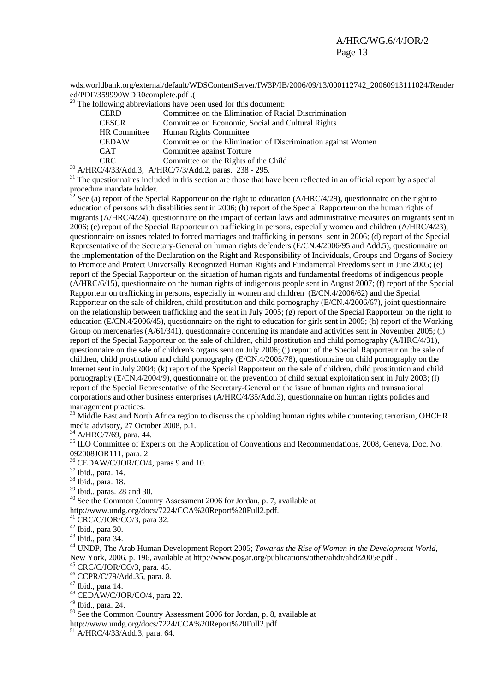wds.worldbank.org/external/default/WDSContentServer/IW3P/IB/2006/09/13/000112742\_20060913111024/Render ed/PDF/359990WDR0complete.pdf .(

 $29$  The following abbreviations have been used for this document:

| <b>CERD</b>                 | Committee on the Elimination of Racial Discrimination                                     |
|-----------------------------|-------------------------------------------------------------------------------------------|
| <b>CESCR</b>                | Committee on Economic, Social and Cultural Rights                                         |
| <b>HR</b> Committee         | Human Rights Committee                                                                    |
| <b>CEDAW</b>                | Committee on the Elimination of Discrimination against Women                              |
| <b>CAT</b>                  | Committee against Torture                                                                 |
| <b>CRC</b>                  | Committee on the Rights of the Child                                                      |
| $\sim$ $\sim$ $\sim$ $\sim$ | $220 - 205$<br>$\pi$ in $\alpha$ $\approx$ $\alpha$ $\beta$ $\rightarrow$ $\gamma$ $\sim$ |

<sup>30</sup> A/HRC/4/33/Add.3; [A/HRC/7/3/Add.2](http://daccess-ods.un.org/access.nsf/Get?Open&DS=A/HRC/7/3/Add.2&Lang=E), paras. 238 - 295.<br><sup>31</sup> The questionnaires included in this section are those that have been reflected in an official report by a special procedure mandate holder.

 $32$  See (a) report of the Special Rapporteur on the right to education (A/HRC/4/29), questionnaire on the right to education of persons with disabilities sent in 2006; (b) report of the Special Rapporteur on the human rights of migrants (A/HRC/4/24), questionnaire on the impact of certain laws and administrative measures on migrants sent in 2006; (c) report of the Special Rapporteur on trafficking in persons, especially women and children (A/HRC/4/23), questionnaire on issues related to forced marriages and trafficking in persons sent in 2006; (d) report of the Special Representative of the Secretary-General on human rights defenders (E/CN.4/2006/95 and Add.5), questionnaire on the implementation of the Declaration on the Right and Responsibility of Individuals, Groups and Organs of Society to Promote and Protect Universally Recognized Human Rights and Fundamental Freedoms sent in June 2005; (e) report of the Special Rapporteur on the situation of human rights and fundamental freedoms of indigenous people (A/HRC/6/15), questionnaire on the human rights of indigenous people sent in August 2007; (f) report of the Special Rapporteur on trafficking in persons, especially in women and children (E/CN.4/2006/62) and the Special Rapporteur on the sale of children, child prostitution and child pornography (E/CN.4/2006/67), joint questionnaire on the relationship between trafficking and the sent in July 2005; (g) report of the Special Rapporteur on the right to education (E/CN.4/2006/45), questionnaire on the right to education for girls sent in 2005; (h) report of the Working Group on mercenaries (A/61/341), questionnaire concerning its mandate and activities sent in November 2005; (i) report of the Special Rapporteur on the sale of children, child prostitution and child pornography (A/HRC/4/31), questionnaire on the sale of children's organs sent on July 2006; (j) report of the Special Rapporteur on the sale of children, child prostitution and child pornography (E/CN.4/2005/78), questionnaire on child pornography on the Internet sent in July 2004; (k) report of the Special Rapporteur on the sale of children, child prostitution and child pornography (E/CN.4/2004/9), questionnaire on the prevention of child sexual exploitation sent in July 2003; (l) report of the Special Representative of the Secretary-General on the issue of human rights and transnational corporations and other business enterprises (A/HRC/4/35/Add.3), questionnaire on human rights policies and management practices.

<sup>33</sup> Middle East and North Africa region to discuss the upholding human rights while countering terrorism, OHCHR media advisory, 27 October 2008, p.1.

 $34$  A/HRC/7/69, para. 44.

<sup>35</sup> ILO Committee of Experts on the Application of Conventions and Recommendations, 2008, Geneva, Doc. No. 092008JOR111, para. 2.

36 CEDAW/C/JOR/CO/4, paras 9 and 10.

37 Ibid., para. 14.

38 Ibid., para. 18.

39 Ibid., paras. 28 and 30.

40 See the Common Country Assessment 2006 for Jordan, p. 7, available at

<http://www.undg.org/docs/7224/CCA%20Report%20Full2.pdf>. [41](http://www.undg.org/docs/7224/CCA%20Report%20Full2.pdf) CRC/C/JOR/CO/3, para 32.

42 Ibid., para 30.

43 Ibid., para 34.

44 UNDP, The Arab Human Development Report 2005; *Towards the Rise of Women in the Development World*, New York, 2006, p. 196, available at<http://www.pogar.org/publications/other/ahdr/ahdr2005e.pdf> . 45 CRC/C/JOR/CO/3, para. 45.

46 CCPR/C/79/Add.35, para. 8.

47 Ibid., para 14.

48 CEDAW/C/JOR/CO/4, para 22.

49 Ibid., para. 24.

<sup>50</sup> See the Common Country Assessment 2006 for Jordan, p. 8, available at

<http://www.undg.org/docs/7224/CCA%20Report%20Full2.pdf> .<br>
<sup>[51](http://www.undg.org/docs/7224/CCA%20Report%20Full2.pdf)</sup> A/HRC/4/33/Add.3, para. 64.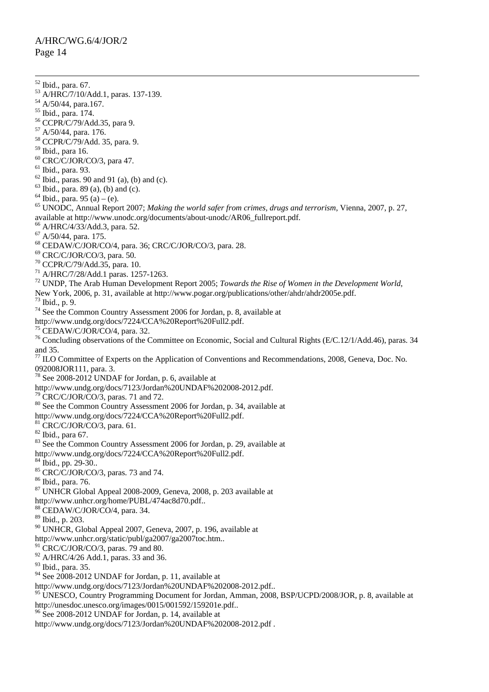52 Ibid., para. 67. 53 A/HRC/7/10/Add.1, paras. 137-139. 54 A/50/44, para.167. 55 Ibid., para. 174. 56 CCPR/C/79/Add.35, para 9. 57 A/50/44, para. 176. 58 CCPR/C/79/Add. 35, para. 9. 59 Ibid., para 16.  $60$  CRC/C/JOR/CO/3, para 47.  $<sup>61</sup>$  Ibid., para. 93.</sup>  $62$  Ibid., paras. 90 and 91 (a), (b) and (c).  $^{63}$  Ibid., para. 89 (a), (b) and (c).  $64$  Ibid., para. 95 (a) – (e). 65 UNODC, Annual Report 2007; *Making the world safer from crimes, drugs and terrorism*, Vienna, 2007, p. 27, available at [http://www.unodc.org/documents/about-unodc/AR06\\_fullreport.pdf](http://www.unodc.org/documents/about-unodc/AR06_fullreport.pdf). 66 A/HRC/4/33/Add.3, para. 52. 67 A/50/44, para. 175. 68 CEDAW/C/JOR/CO/4, para. 36; CRC/C/JOR/CO/3, para. 28. 69 CRC/C/JOR/CO/3, para. 50. 70 CCPR/C/79/Add.35, para. 10. 71 A/HRC/7/28/Add.1 paras. 1257-1263. 72 UNDP, The Arab Human Development Report 2005; *Towards the Rise of Women in the Development World*, New York, 2006, p. 31, available at [http://www.pogar.org/publications/other/ahdr/ahdr2005e.pdf.](http://www.pogar.org/publications/other/ahdr/ahdr2005e.pdf) 73 Ibid., p. 9. <sup>74</sup> See the Common Country Assessment 2006 for Jordan, p. 8, available at <http://www.undg.org/docs/7224/CCA%20Report%20Full2.pdf>.<br><sup>[75](http://www.undg.org/docs/7224/CCA%20Report%20Full2.pdf)</sup> CEDAW/C/JOR/CO/4, para. 32. <sup>76</sup> Concluding observations of the Committee on Economic, Social and Cultural Rights (E/C.12/1/Add.46), paras. 34 and 35.  $^{77}$  ILO Committee of Experts on the Application of Conventions and Recommendations, 2008, Geneva, Doc. No. 092008JOR111, para. 3. 78 See 2008-2012 UNDAF for Jordan, p. 6, available at <http://www.undg.org/docs/7123/Jordan%20UNDAF%202008-2012.pdf>.<br><sup>[79](http://www.undg.org/docs/7123/Jordan%20UNDAF%202008-2012.pdf)</sup> CRC/C/JOR/CO/3, paras. 71 and 72. <sup>80</sup> See the Common Country Assessment 2006 for Jordan, p. 34, available at <http://www.undg.org/docs/7224/CCA%20Report%20Full2.pdf>. [81](http://www.undg.org/docs/7224/CCA%20Report%20Full2.pdf) CRC/C/JOR/CO/3, para. 61. 82 Ibid., para 67. <sup>83</sup> See the Common Country Assessment 2006 for Jordan, p. 29, available at <http://www.undg.org/docs/7224/CCA%20Report%20Full2.pdf>. [84](http://www.undg.org/docs/7224/CCA%20Report%20Full2.pdf) Ibid., pp. 29-30..  $85$  CRC/C/JOR/CO/3, paras. 73 and 74. 86 Ibid., para. 76. 87 UNHCR Global Appeal 2008-2009, Geneva, 2008, p. 203 available at <http://www.unhcr.org/home/PUBL/474ac8d70.pdf>.. [88](http://www.unhcr.org/home/PUBL/474ac8d70.pdf) CEDAW/C/JOR/CO/4, para. 34. 89 Ibid., p. 203.  $90$  UNHCR, Global Appeal 2007, Geneva, 2007, p. 196, available at <http://www.unhcr.org/static/publ/ga2007/ga2007toc.htm>.. [91](http://www.unhcr.org/static/publ/ga2007/ga2007toc.htm) CRC/C/JOR/CO/3, paras. 79 and 80.  $92$  A/HRC/4/26 Add.1, paras. 33 and 36. <sup>93</sup> Ibid., para. 35.  $94$  See 2008-2012 UNDAF for Jordan, p. 11, available at <http://www.undg.org/docs/7123/Jordan%20UNDAF%202008-2012.pdf>.. [95](http://www.undg.org/docs/7123/Jordan%20UNDAF%202008-2012.pdf) UNESCO, Country Programming Document for Jordan, Amman, 2008, BSP/UCPD/2008/JOR, p. 8, available at [http://unesdoc.unesco.org/images/0015/001592/159201e.pdf.](http://unesdoc.unesco.org/images/0015/001592/159201e.pdf). [96](http://unesdoc.unesco.org/images/0015/001592/159201e.pdf) See 2008-2012 UNDAF for Jordan, p. 14, available at <http://www.undg.org/docs/7123/Jordan%20UNDAF%202008-2012.pdf> .